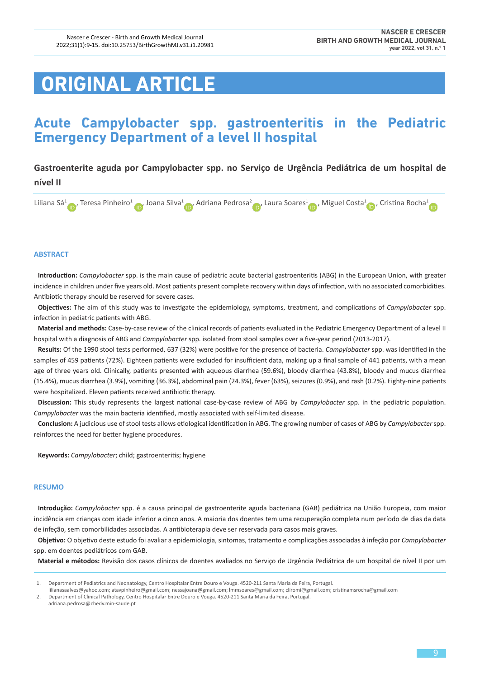# **ORIGINAL ARTICLE**

# **Acute Campylobacter spp. gastroenteritis in the Pediatric Emergency Department of a level II hospital**

**Gastroenterite aguda por Campylobacter spp. no Serviço de Urgência Pediátrica de um hospital de nível II**

Liliana Sá<sup>1</sup> [,](https://orcid.org/0000-0003-4759-9236) Teresa Pinheiro<sup>[1](https://orcid.org/
0000-0001-5645-9433)</sup> , Joana Silva<sup>1</sup> , Adriana Pedrosa<sup>2</sup> , Laura Soares<sup>1</sup> , Miguel Costa<sup>1</sup> , Cristina Rocha<sup>1</sup>

### **ABSTRACT**

**Introduction:** *Campylobacter* spp. is the main cause of pediatric acute bacterial gastroenteritis (ABG) in the European Union, with greater incidence in children under five years old. Most patients present complete recovery within days of infection, with no associated comorbidities. Antibiotic therapy should be reserved for severe cases.

**Objectives:** The aim of this study was to investigate the epidemiology, symptoms, treatment, and complications of *Campylobacter* spp. infection in pediatric patients with ABG.

**Material and methods:** Case-by-case review of the clinical records of patients evaluated in the Pediatric Emergency Department of a level II hospital with a diagnosis of ABG and *Campylobacter* spp. isolated from stool samples over a five-year period (2013-2017).

**Results:** Of the 1990 stool tests performed, 637 (32%) were positive for the presence of bacteria. *Campylobacter* spp. was identified in the samples of 459 patients (72%). Eighteen patients were excluded for insufficient data, making up a final sample of 441 patients, with a mean age of three years old. Clinically, patients presented with aqueous diarrhea (59.6%), bloody diarrhea (43.8%), bloody and mucus diarrhea (15.4%), mucus diarrhea (3.9%), vomiting (36.3%), abdominal pain (24.3%), fever (63%), seizures (0.9%), and rash (0.2%). Eighty-nine patients were hospitalized. Eleven patients received antibiotic therapy.

**Discussion:** This study represents the largest national case-by-case review of ABG by *Campylobacter* spp. in the pediatric population. *Campylobacter* was the main bacteria identified, mostly associated with self-limited disease.

**Conclusion:** A judicious use of stool tests allows etiological identification in ABG. The growing number of cases of ABG by *Campylobacter* spp. reinforces the need for better hygiene procedures.

**Keywords:** *Campylobacter*; child; gastroenteritis; hygiene

#### **RESUMO**

**Introdução:** *Campylobacter* spp. é a causa principal de gastroenterite aguda bacteriana (GAB) pediátrica na União Europeia, com maior incidência em crianças com idade inferior a cinco anos. A maioria dos doentes tem uma recuperação completa num período de dias da data de infeção, sem comorbilidades associadas. A antibioterapia deve ser reservada para casos mais graves.

**Objetivo:** O objetivo deste estudo foi avaliar a epidemiologia, sintomas, tratamento e complicações associadas à infeção por *Campylobacter* spp. em doentes pediátricos com GAB.

**Material e métodos:** Revisão dos casos clínicos de doentes avaliados no Serviço de Urgência Pediátrica de um hospital de nível II por um

 2. Department of Clinical Pathology, Centro Hospitalar Entre Douro e Vouga. 4520-211 Santa Maria da Feira, Portugal. [adriana.pedrosa@chedv.min-saude.pt](mailto:adriana.pedrosa@chedv.min-saude.pt)

 <sup>1.</sup> Department of Pediatrics and Neonatology, Centro Hospitalar Entre Douro e Vouga. 4520-211 Santa Maria da Feira, Portugal.

[lilianasaalves@yahoo.com](mailto:lilianasaalves@yahoo.com); [atavpinheiro@gmail.com](mailto:atavpinheiro@gmail.com); [nessajoana@gmail.com](mailto:nessajoana@gmail.com); [lmmsoares@gmail.com;](mailto:lmmsoares@gmail.com) [cliromi@gmail.com](mailto:cliromi@gmail.com); [cristinamsrocha@gmail.com](mailto:cristinamsrocha@gmail.com)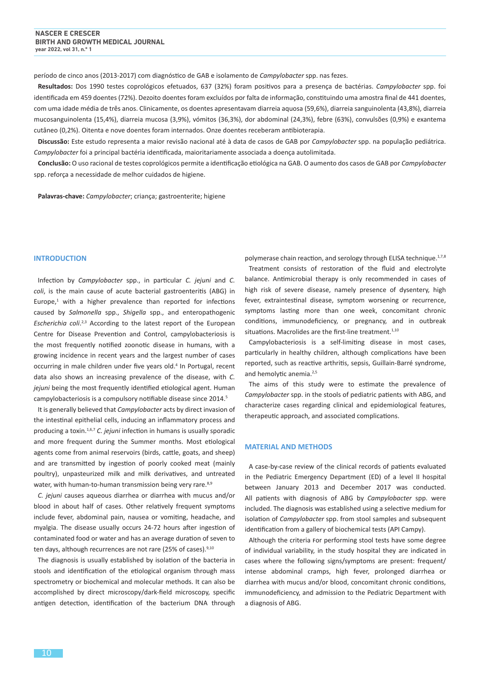período de cinco anos (2013-2017) com diagnóstico de GAB e isolamento de *Campylobacter* spp. nas fezes.

**Resultados:** Dos 1990 testes coprológicos efetuados, 637 (32%) foram positivos para a presença de bactérias. *Campylobacter* spp. foi identificada em 459 doentes (72%). Dezoito doentes foram excluídos por falta de informação, constituindo uma amostra final de 441 doentes, com uma idade média de três anos. Clinicamente, os doentes apresentavam diarreia aquosa (59,6%), diarreia sanguinolenta (43,8%), diarreia mucosanguinolenta (15,4%), diarreia mucosa (3,9%), vómitos (36,3%), dor abdominal (24,3%), febre (63%), convulsões (0,9%) e exantema cutâneo (0,2%). Oitenta e nove doentes foram internados. Onze doentes receberam antibioterapia.

**Discussão:** Este estudo representa a maior revisão nacional até à data de casos de GAB por *Campylobacter* spp. na população pediátrica. *Campylobacter* foi a principal bactéria identificada, maioritariamente associada a doença autolimitada.

**Conclusão:** O uso racional de testes coprológicos permite a identificação etiológica na GAB. O aumento dos casos de GAB por *Campylobacter* spp. reforça a necessidade de melhor cuidados de higiene.

**Palavras-chave:** *Campylobacter*; criança; gastroenterite; higiene

#### **INTRODUCTION**

Infection by *Campylobacter* spp., in particular *C. jejuni* and *C. coli*, is the main cause of acute bacterial gastroenteritis (ABG) in Europe, $1$  with a higher prevalence than reported for infections caused by *Salmonella* spp., *Shigella* spp., and enteropathogenic Escherichia coli.<sup>2,3</sup> According to the latest report of the European Centre for Disease Prevention and Control, campylobacteriosis is the most frequently notified zoonotic disease in humans, with a growing incidence in recent years and the largest number of cases occurring in male children under five years old.<sup>4</sup> In Portugal, recent data also shows an increasing prevalence of the disease, with *C. jejuni* being the most frequently identified etiological agent. Human campylobacteriosis is a compulsory notifiable disease since 2014.5

It is generally believed that *Campylobacter* acts by direct invasion of the intestinal epithelial cells, inducing an inflammatory process and producing a toxin.1,6,7 *C. jejuni* infection in humans is usually sporadic and more frequent during the Summer months. Most etiological agents come from animal reservoirs (birds, cattle, goats, and sheep) and are transmitted by ingestion of poorly cooked meat (mainly poultry), unpasteurized milk and milk derivatives, and untreated water, with human-to-human transmission being very rare.<sup>8,9</sup>

*C. jejuni* causes aqueous diarrhea or diarrhea with mucus and/or blood in about half of cases. Other relatively frequent symptoms include fever, abdominal pain, nausea or vomiting, headache, and myalgia. The disease usually occurs 24-72 hours after ingestion of contaminated food or water and has an average duration of seven to ten days, although recurrences are not rare (25% of cases).<sup>9,10</sup>

The diagnosis is usually established by isolation of the bacteria in stools and identification of the etiological organism through mass spectrometry or biochemical and molecular methods. It can also be accomplished by direct microscopy/dark-field microscopy, specific antigen detection, identification of the bacterium DNA through polymerase chain reaction, and serology through ELISA technique.<sup>1,7,8</sup>

Treatment consists of restoration of the fluid and electrolyte balance. Antimicrobial therapy is only recommended in cases of high risk of severe disease, namely presence of dysentery, high fever, extraintestinal disease, symptom worsening or recurrence, symptoms lasting more than one week, concomitant chronic conditions, immunodeficiency, or pregnancy, and in outbreak situations. Macrolides are the first-line treatment. $1,10$ 

Campylobacteriosis is a self-limiting disease in most cases, particularly in healthy children, although complications have been reported, such as reactive arthritis, sepsis, Guillain-Barré syndrome, and hemolytic anemia.<sup>2,5</sup>

The aims of this study were to estimate the prevalence of *Campylobacter* spp. in the stools of pediatric patients with ABG, and characterize cases regarding clinical and epidemiological features, therapeutic approach, and associated complications.

#### **MATERIAL AND METHODS**

A case-by-case review of the clinical records of patients evaluated in the Pediatric Emergency Department (ED) of a level II hospital between January 2013 and December 2017 was conducted. All patients with diagnosis of ABG by *Campylobacter* spp. were included. The diagnosis was established using a selective medium for isolation of *Campylobacter* spp. from stool samples and subsequent identification from a gallery of biochemical tests (API Campy).

Although the criteria For performing stool tests have some degree of individual variability, in the study hospital they are indicated in cases where the following signs/symptoms are present: frequent/ intense abdominal cramps, high fever, prolonged diarrhea or diarrhea with mucus and/or blood, concomitant chronic conditions, immunodeficiency, and admission to the Pediatric Department with a diagnosis of ABG.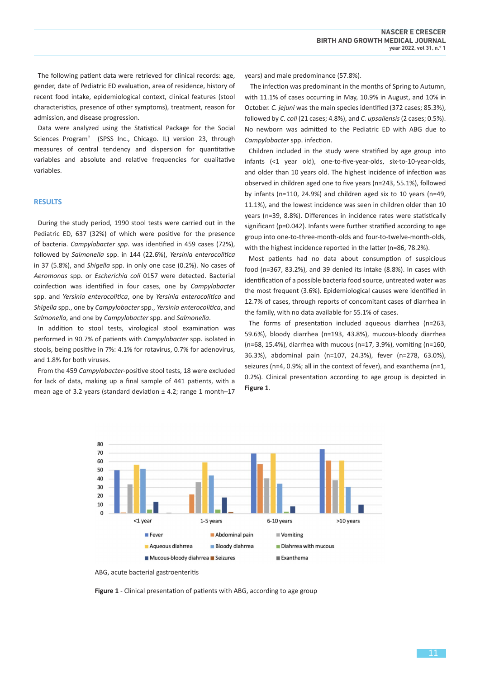The following patient data were retrieved for clinical records: age, gender, date of Pediatric ED evaluation, area of residence, history of recent food intake, epidemiological context, clinical features (stool characteristics, presence of other symptoms), treatment, reason for admission, and disease progression.

Data were analyzed using the Statistical Package for the Social Sciences Program (SPSS Inc., Chicago. IL) version 23, through measures of central tendency and dispersion for quantitative variables and absolute and relative frequencies for qualitative variables.

#### **RESULTS**

During the study period, 1990 stool tests were carried out in the Pediatric ED, 637 (32%) of which were positive for the presence of bacteria. *Campylobacter spp*. was identified in 459 cases (72%), followed by *Salmonella* spp. in 144 (22.6%), *Yersinia enterocolitica* in 37 (5.8%), and *Shigella* spp. in only one case (0.2%). No cases of *Aeromonas* spp. or *Escherichia coli* 0157 were detected. Bacterial coinfection was identified in four cases, one by *Campylobacter*  spp. and *Yersinia enterocolitica*, one by *Yersinia enterocolitica* and *Shigella* spp., one by *Campylobacter* spp., *Yersinia enterocolitica*, and *Salmonella*, and one by *Campylobacter* spp. and *Salmonella*.

In addition to stool tests, virological stool examination was performed in 90.7% of patients with *Campylobacter* spp. isolated in stools, being positive in 7%: 4.1% for rotavirus, 0.7% for adenovirus, and 1.8% for both viruses.

From the 459 *Campylobacter*-positive stool tests, 18 were excluded for lack of data, making up a final sample of 441 patients, with a mean age of 3.2 years (standard deviation ± 4.2; range 1 month-17

years) and male predominance (57.8%).

 The infection was predominant in the months of Spring to Autumn, with 11.1% of cases occurring in May, 10.9% in August, and 10% in October. *C. jejuni* was the main species identified (372 cases; 85.3%), followed by *C. coli* (21 cases; 4.8%), and *C. upsaliensis* (2 cases; 0.5%). No newborn was admitted to the Pediatric ED with ABG due to *Campylobacter* spp. infection.

Children included in the study were stratified by age group into infants (<1 year old), one-to-five-year-olds, six-to-10-year-olds, and older than 10 years old. The highest incidence of infection was observed in children aged one to five years (n=243, 55.1%), followed by infants (n=110, 24.9%) and children aged six to 10 years (n=49, 11.1%), and the lowest incidence was seen in children older than 10 years (n=39, 8.8%). Differences in incidence rates were statistically significant (p=0.042). Infants were further stratified according to age group into one-to-three-month-olds and four-to-twelve-month-olds, with the highest incidence reported in the latter (n=86, 78.2%).

Most patients had no data about consumption of suspicious food (n=367, 83.2%), and 39 denied its intake (8.8%). In cases with identification of a possible bacteria food source, untreated water was the most frequent (3.6%). Epidemiological causes were identified in 12.7% of cases, through reports of concomitant cases of diarrhea in the family, with no data available for 55.1% of cases.

The forms of presentation included aqueous diarrhea (n=263, 59.6%), bloody diarrhea (n=193, 43.8%), mucous-bloody diarrhea (n=68, 15.4%), diarrhea with mucous (n=17, 3.9%), vomiting (n=160, 36.3%), abdominal pain (n=107, 24.3%), fever (n=278, 63.0%), seizures (n=4, 0.9%; all in the context of fever), and exanthema (n=1, 0.2%). Clinical presentation according to age group is depicted in **Figure 1**.



ABG, acute bacterial gastroenteritis

**Figure 1** - Clinical presentation of patients with ABG, according to age group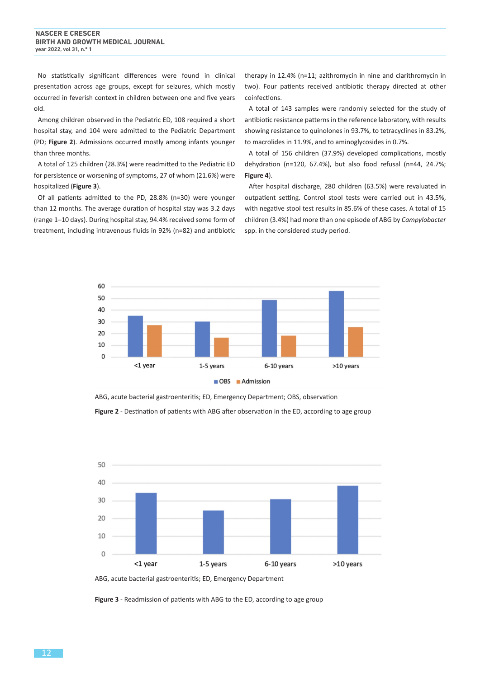No statistically significant differences were found in clinical presentation across age groups, except for seizures, which mostly occurred in feverish context in children between one and five years old.

Among children observed in the Pediatric ED, 108 required a short hospital stay, and 104 were admitted to the Pediatric Department (PD; **Figure 2**). Admissions occurred mostly among infants younger than three months.

A total of 125 children (28.3%) were readmitted to the Pediatric ED for persistence or worsening of symptoms, 27 of whom (21.6%) were hospitalized (**Figure 3**).

Of all patients admitted to the PD, 28.8% (n=30) were younger than 12 months. The average duration of hospital stay was 3.2 days (range 1─10 days). During hospital stay, 94.4% received some form of treatment, including intravenous fluids in 92% (n=82) and antibiotic therapy in 12.4% (n=11; azithromycin in nine and clarithromycin in two). Four patients received antibiotic therapy directed at other coinfections.

A total of 143 samples were randomly selected for the study of antibiotic resistance patterns in the reference laboratory, with results showing resistance to quinolones in 93.7%, to tetracyclines in 83.2%, to macrolides in 11.9%, and to aminoglycosides in 0.7%.

A total of 156 children (37.9%) developed complications, mostly dehydration (n=120, 67.4%), but also food refusal (n=44, 24.7%; **Figure 4**).

After hospital discharge, 280 children (63.5%) were revaluated in outpatient setting. Control stool tests were carried out in 43.5%, with negative stool test results in 85.6% of these cases. A total of 15 children (3.4%) had more than one episode of ABG by *Campylobacter*  spp. in the considered study period.



ABG, acute bacterial gastroenteritis; ED, Emergency Department; OBS, observation

**Figure 2** - Destination of patients with ABG after observation in the ED, according to age group



ABG, acute bacterial gastroenteritis; ED, Emergency Department

**Figure 3** - Readmission of patients with ABG to the ED, according to age group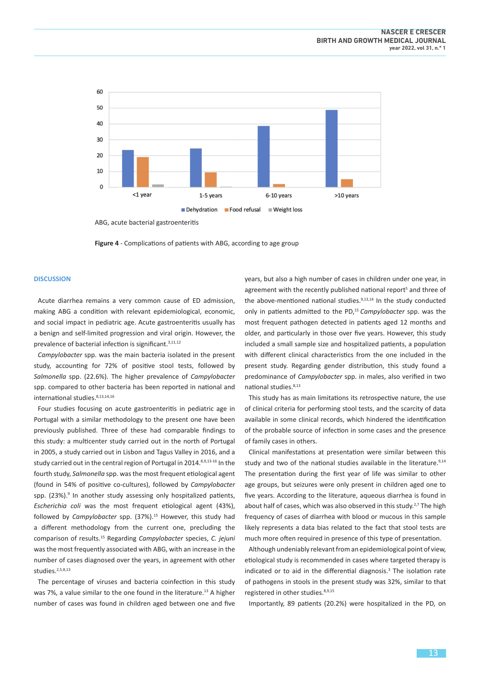

ABG, acute bacterial gastroenteritis

**Figure 4** - Complications of patients with ABG, according to age group

#### **DISCUSSION**

Acute diarrhea remains a very common cause of ED admission, making ABG a condition with relevant epidemiological, economic, and social impact in pediatric age. Acute gastroenteritis usually has a benign and self-limited progression and viral origin. However, the prevalence of bacterial infection is significant.<sup>3,11,12</sup>

*Campylobacter* spp. was the main bacteria isolated in the present study, accounting for 72% of positive stool tests, followed by *Salmonella* spp. (22.6%). The higher prevalence of *Campylobacter* spp. compared to other bacteria has been reported in national and international studies.8,13,14,16

Four studies focusing on acute gastroenteritis in pediatric age in Portugal with a similar methodology to the present one have been previously published. Three of these had comparable findings to this study: a multicenter study carried out in the north of Portugal in 2005, a study carried out in Lisbon and Tagus Valley in 2016, and a study carried out in the central region of Portugal in 2014.<sup>8,9,13-16</sup> In the fourth study, *Salmonella* spp. was the most frequent etiological agent (found in 54% of positive co-cultures), followed by *Campylobacter* spp. (23%).<sup>9</sup> In another study assessing only hospitalized patients, *Escherichia coli* was the most frequent etiological agent (43%), followed by *Campylobacter* spp. (37%).<sup>15</sup> However, this study had a different methodology from the current one, precluding the comparison of results.15 Regarding *Campylobacter* species, *C. jejuni* was the most frequently associated with ABG, with an increase in the number of cases diagnosed over the years, in agreement with other studies.<sup>2,5,8,13</sup>

The percentage of viruses and bacteria coinfection in this study was 7%, a value similar to the one found in the literature.<sup>13</sup> A higher number of cases was found in children aged between one and five

years, but also a high number of cases in children under one year, in agreement with the recently published national report<sup>5</sup> and three of the above-mentioned national studies. $9,13,14$  In the study conducted only in patients admitted to the PD,15 *Campylobacter* spp. was the most frequent pathogen detected in patients aged 12 months and older, and particularly in those over five years. However, this study included a small sample size and hospitalized patients, a population with different clinical characteristics from the one included in the present study. Regarding gender distribution, this study found a predominance of *Campylobacter* spp. in males, also verified in two national studies.<sup>8,13</sup>

This study has as main limitations its retrospective nature, the use of clinical criteria for performing stool tests, and the scarcity of data available in some clinical records, which hindered the identification of the probable source of infection in some cases and the presence of family cases in others.

Clinical manifestations at presentation were similar between this study and two of the national studies available in the literature.<sup>9,14</sup> The presentation during the first year of life was similar to other age groups, but seizures were only present in children aged one to five years. According to the literature, aqueous diarrhea is found in about half of cases, which was also observed in this study.<sup>2,7</sup> The high frequency of cases of diarrhea with blood or mucous in this sample likely represents a data bias related to the fact that stool tests are much more often required in presence of this type of presentation.

Although undeniably relevant from an epidemiological point of view, etiological study is recommended in cases where targeted therapy is indicated or to aid in the differential diagnosis.<sup>3</sup> The isolation rate of pathogens in stools in the present study was 32%, similar to that registered in other studies.8,9,15

Importantly, 89 patients (20.2%) were hospitalized in the PD, on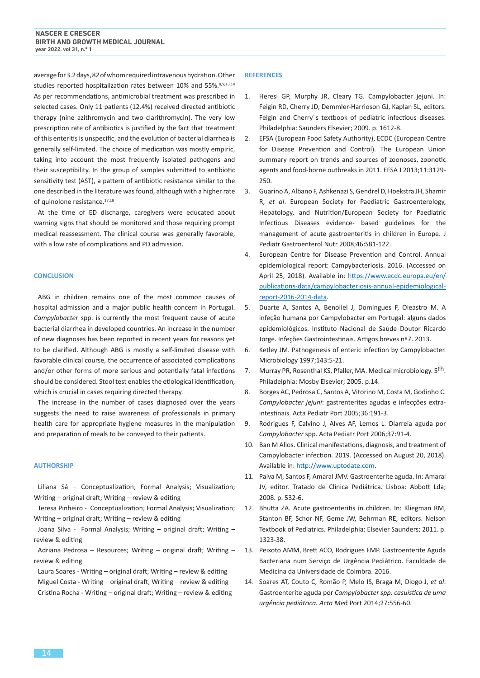average for 3.2 days, 82 of whom required intravenous hydration. Other studies reported hospitalization rates between 10% and 55%.<sup>8,9,13,14</sup> As per recommendations, antimicrobial treatment was prescribed in selected cases. Only 11 patients (12.4%) received directed antibiotic therapy (nine azithromycin and two clarithromycin). The very low prescription rate of antibiotics is justified by the fact that treatment of this enteritis is unspecific, and the evolution of bacterial diarrhea is generally self-limited. The choice of medication was mostly empiric, taking into account the most frequently isolated pathogens and their susceptibility. In the group of samples submitted to antibiotic sensitivity test (AST), a pattern of antibiotic resistance similar to the one described in the literature was found, although with a higher rate of quinolone resistance.<sup>17,18</sup>

At the time of ED discharge, caregivers were educated about warning signs that should be monitored and those requiring prompt medical reassessment. The clinical course was generally favorable, with a low rate of complications and PD admission.

#### **CONCLUSION**

ABG in children remains one of the most common causes of hospital admission and a major public health concern in Portugal. *Campylobacter* spp. is currently the most frequent cause of acute bacterial diarrhea in developed countries. An increase in the number of new diagnoses has been reported in recent years for reasons yet to be clarified. Although ABG is mostly a self-limited disease with favorable clinical course, the occurrence of associated complications and/or other forms of more serious and potentially fatal infections should be considered. Stool test enables the etiological identification, which is crucial in cases requiring directed therapy.

The increase in the number of cases diagnosed over the years suggests the need to raise awareness of professionals in primary health care for appropriate hygiene measures in the manipulation and preparation of meals to be conveyed to their patients.

#### **AUTHORSHIP**

Liliana Sá – Conceptualization; Formal Analysis; Visualization; Writing – original draft; Writing – review & editing

Teresa Pinheiro - Conceptualization; Formal Analysis; Visualization; Writing – original draft; Writing – review & editing

Joana Silva - Formal Analysis; Writing – original draft; Writing – review & editing

Adriana Pedrosa – Resources; Writing – original draft; Writing – review & editing

Laura Soares - Writing – original draft; Writing – review & editing Miguel Costa - Writing – original draft; Writing – review & editing Cristina Rocha - Writing – original draft; Writing – review & editing

#### **REFERENCES**

- 1. Heresi GP, Murphy JR, Cleary TG. Campylobacter jejuni. In: Feigin RD, Cherry JD, Demmler-Harrioson GJ, Kaplan SL, editors. Feigin and Cherry's textbook of pediatric infectious diseases. Philadelphia: Saunders Elsevier; 2009. p. 1612-8.
- 2. EFSA (European Food Safety Authority), ECDC (European Centre for Disease Prevention and Control). The European Union summary report on trends and sources of zoonoses, zoonotic agents and food-borne outbreaks in 2011. EFSA J 2013;11:3129- 250.
- 3. Guarino A, Albano F, Ashkenazi S, Gendrel D, Hoekstra JH, Shamir R, *et al*. European Society for Paediatric Gastroenterology, Hepatology, and Nutrition/European Society for Paediatric Infectious Diseases evidence- based guidelines for the management of acute gastroenteritis in children in Europe. J Pediatr Gastroenterol Nutr 2008;46:S81-122.
- 4. European Centre for Disease Prevention and Control. Annual epidemiological report: Campybacteriosis. 2016. (Accessed on April 25, 2018). Available in: [https://www.ecdc.europa.eu/en/](https://www.ecdc.europa.eu/en/publications-data/campylobacteriosis-annual-epidemiological-report-2016-2014-data) [publications-data/campylobacteriosis-annual-epidemiological](https://www.ecdc.europa.eu/en/publications-data/campylobacteriosis-annual-epidemiological-report-2016-2014-data)[report-2016-2014-data](https://www.ecdc.europa.eu/en/publications-data/campylobacteriosis-annual-epidemiological-report-2016-2014-data).
- 5. Duarte A, Santos A, Benoliel J, Domingues F, Oleastro M. A infeção humana por Campylobacter em Portugal: alguns dados epidemiológicos. Instituto Nacional de Saúde Doutor Ricardo Jorge. Infeções Gastrointestinais. Artigos breves nº7. 2013.
- 6. Ketley JM. Pathogenesis of enteric infection by Campylobacter. Microbiology 1997;143:5-21.
- 7. Murray PR, Rosenthal KS, Pfaller, MA. Medical microbiology. 5th. Philadelphia: Mosby Elsevier; 2005. p.14.
- 8. Borges AC, Pedrosa C, Santos A, Vitorino M, Costa M, Godinho C. *Campylobacter jejuni*: gastrenterites agudas e infecções extraintestinais. Acta Pediatr Port 2005;36:191-3.
- 9. Rodrigues F, Calvino J, Alves AF, Lemos L. Diarreia aguda por *Campylobacter* spp. Acta Pediatr Port 2006;37:91-4.
- 10. Ban M Allos. Clinical manifestations, diagnosis, and treatment of Campylobacter infection. 2019. (Accessed on August 20, 2018). Available in: <http://www.uptodate.com>.
- 11. Paiva M, Santos F, Amaral JMV. Gastroenterite aguda. In: Amaral JV, editor. Tratado de Clínica Pediátrica. Lisboa: Abbott Lda; 2008. p. 532-6.
- 12. Bhutta ZA. Acute gastroenteritis in children. In: Kliegman RM, Stanton BF, Schor NF, Geme JW, Behrman RE, editors. Nelson Textbook of Pediatrics. Philadelphia: Elsevier Saunders; 2011. p. 1323-38.
- 13. Peixoto AMM, Brett ACO, Rodrigues FMP. Gastroenterite Aguda Bacteriana num Serviço de Urgência Pediátrico. Faculdade de Medicina da Universidade de Coimbra. 2016.
- 14. Soares AT, Couto C, Romão P, Melo IS, Braga M, Diogo J, *et al*. Gastroenterite aguda por *Campylobacter spp: casuística de uma urgência pediátrica. Acta Me*d Port 2014;27:556-60.